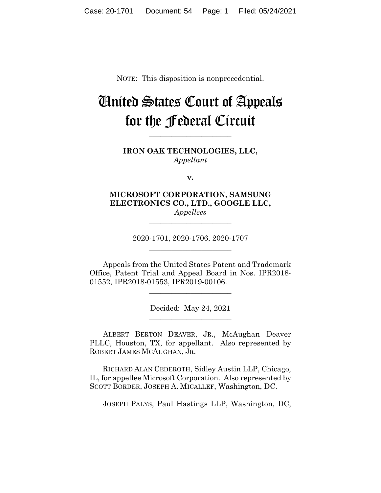NOTE: This disposition is nonprecedential.

# United States Court of Appeals for the Federal Circuit

**\_\_\_\_\_\_\_\_\_\_\_\_\_\_\_\_\_\_\_\_\_\_**

**IRON OAK TECHNOLOGIES, LLC,** *Appellant*

**v.**

**MICROSOFT CORPORATION, SAMSUNG ELECTRONICS CO., LTD., GOOGLE LLC,** *Appellees*

> 2020-1701, 2020-1706, 2020-1707 **\_\_\_\_\_\_\_\_\_\_\_\_\_\_\_\_\_\_\_\_\_\_**

**\_\_\_\_\_\_\_\_\_\_\_\_\_\_\_\_\_\_\_\_\_\_**

Appeals from the United States Patent and Trademark Office, Patent Trial and Appeal Board in Nos. IPR2018- 01552, IPR2018-01553, IPR2019-00106.

> Decided: May 24, 2021 \_\_\_\_\_\_\_\_\_\_\_\_\_\_\_\_\_\_\_\_\_\_

> \_\_\_\_\_\_\_\_\_\_\_\_\_\_\_\_\_\_\_\_\_\_

ALBERT BERTON DEAVER, JR., McAughan Deaver PLLC, Houston, TX, for appellant. Also represented by ROBERT JAMES MCAUGHAN, JR.

 RICHARD ALAN CEDEROTH, Sidley Austin LLP, Chicago, IL, for appellee Microsoft Corporation. Also represented by SCOTT BORDER, JOSEPH A. MICALLEF, Washington, DC.

JOSEPH PALYS, Paul Hastings LLP, Washington, DC,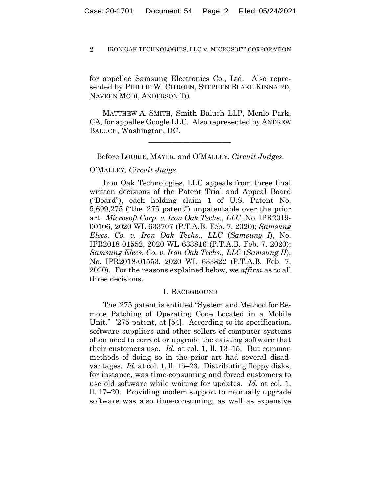for appellee Samsung Electronics Co., Ltd. Also represented by PHILLIP W. CITROEN, STEPHEN BLAKE KINNAIRD, NAVEEN MODI, ANDERSON TO.

 MATTHEW A. SMITH, Smith Baluch LLP, Menlo Park, CA, for appellee Google LLC. Also represented by ANDREW BALUCH, Washington, DC.

Before LOURIE, MAYER, and O'MALLEY, *Circuit Judges*.

 $\mathcal{L}_\text{max}$  and  $\mathcal{L}_\text{max}$  and  $\mathcal{L}_\text{max}$  and  $\mathcal{L}_\text{max}$ 

## O'MALLEY, *Circuit Judge*.

Iron Oak Technologies, LLC appeals from three final written decisions of the Patent Trial and Appeal Board ("Board"), each holding claim 1 of U.S. Patent No. 5,699,275 ("the '275 patent") unpatentable over the prior art. *Microsoft Corp. v. Iron Oak Techs., LLC*, No. IPR2019- 00106, 2020 WL 633707 (P.T.A.B. Feb. 7, 2020); *Samsung Elecs. Co. v. Iron Oak Techs., LLC* (*Samsung I*), No. IPR2018-01552, 2020 WL 633816 (P.T.A.B. Feb. 7, 2020); *Samsung Elecs. Co. v. Iron Oak Techs., LLC* (*Samsung II*), No. IPR2018-01553, 2020 WL 633822 (P.T.A.B. Feb. 7, 2020). For the reasons explained below, we *affirm* as to all three decisions.

## I. BACKGROUND

The '275 patent is entitled "System and Method for Remote Patching of Operating Code Located in a Mobile Unit." '275 patent, at [54]. According to its specification, software suppliers and other sellers of computer systems often need to correct or upgrade the existing software that their customers use. *Id.* at col. 1, ll. 13–15. But common methods of doing so in the prior art had several disadvantages. *Id.* at col. 1, ll. 15–23. Distributing floppy disks, for instance, was time-consuming and forced customers to use old software while waiting for updates. *Id.* at col. 1, ll. 17–20. Providing modem support to manually upgrade software was also time-consuming, as well as expensive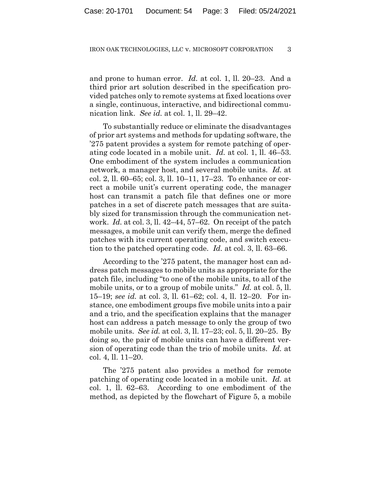and prone to human error. *Id.* at col. 1, ll. 20–23. And a third prior art solution described in the specification provided patches only to remote systems at fixed locations over a single, continuous, interactive, and bidirectional communication link. *See id.* at col. 1, ll. 29–42.

To substantially reduce or eliminate the disadvantages of prior art systems and methods for updating software, the '275 patent provides a system for remote patching of operating code located in a mobile unit. *Id.* at col. 1, ll. 46–53. One embodiment of the system includes a communication network, a manager host, and several mobile units. *Id.* at col. 2, ll. 60–65; col. 3, ll. 10–11, 17–23. To enhance or correct a mobile unit's current operating code, the manager host can transmit a patch file that defines one or more patches in a set of discrete patch messages that are suitably sized for transmission through the communication network. *Id.* at col. 3, ll. 42–44, 57–62. On receipt of the patch messages, a mobile unit can verify them, merge the defined patches with its current operating code, and switch execution to the patched operating code. *Id.* at col. 3, ll. 63–66.

According to the '275 patent, the manager host can address patch messages to mobile units as appropriate for the patch file, including "to one of the mobile units, to all of the mobile units, or to a group of mobile units." *Id.* at col. 5, ll. 15–19; *see id.* at col. 3, ll. 61–62; col. 4, ll. 12–20. For instance, one embodiment groups five mobile units into a pair and a trio, and the specification explains that the manager host can address a patch message to only the group of two mobile units. *See id.* at col. 3, ll. 17–23; col. 5, ll. 20–25. By doing so, the pair of mobile units can have a different version of operating code than the trio of mobile units. *Id.* at col. 4, ll. 11–20.

The '275 patent also provides a method for remote patching of operating code located in a mobile unit. *Id.* at col. 1, ll. 62–63. According to one embodiment of the method, as depicted by the flowchart of Figure 5, a mobile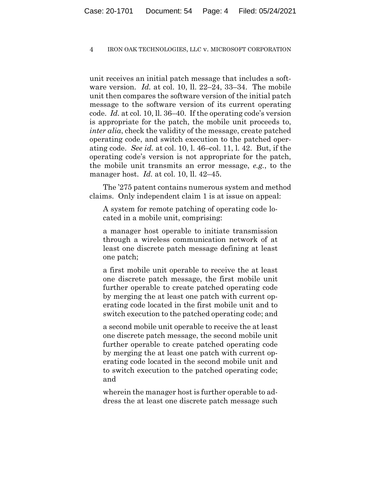unit receives an initial patch message that includes a software version. *Id.* at col. 10, ll. 22–24, 33–34. The mobile unit then compares the software version of the initial patch message to the software version of its current operating code. *Id.* at col. 10, ll. 36–40. If the operating code's version is appropriate for the patch, the mobile unit proceeds to, *inter alia*, check the validity of the message, create patched operating code, and switch execution to the patched operating code. *See id.* at col. 10, l. 46–col. 11, l. 42. But, if the operating code's version is not appropriate for the patch, the mobile unit transmits an error message, *e.g.*, to the manager host. *Id.* at col. 10, ll. 42–45.

The '275 patent contains numerous system and method claims. Only independent claim 1 is at issue on appeal:

A system for remote patching of operating code located in a mobile unit, comprising:

a manager host operable to initiate transmission through a wireless communication network of at least one discrete patch message defining at least one patch;

a first mobile unit operable to receive the at least one discrete patch message, the first mobile unit further operable to create patched operating code by merging the at least one patch with current operating code located in the first mobile unit and to switch execution to the patched operating code; and

a second mobile unit operable to receive the at least one discrete patch message, the second mobile unit further operable to create patched operating code by merging the at least one patch with current operating code located in the second mobile unit and to switch execution to the patched operating code; and

wherein the manager host is further operable to address the at least one discrete patch message such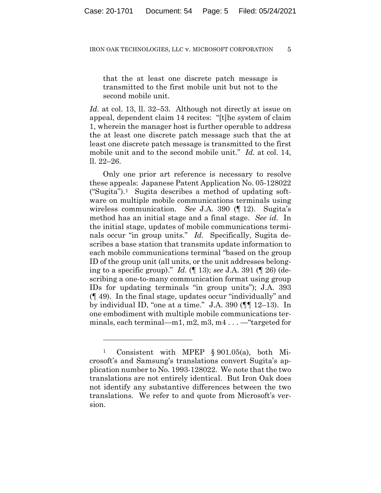that the at least one discrete patch message is transmitted to the first mobile unit but not to the second mobile unit.

*Id.* at col. 13, ll. 32–53. Although not directly at issue on appeal, dependent claim 14 recites: "[t]he system of claim 1, wherein the manager host is further operable to address the at least one discrete patch message such that the at least one discrete patch message is transmitted to the first mobile unit and to the second mobile unit." *Id.* at col. 14, ll. 22–26.

Only one prior art reference is necessary to resolve these appeals: Japanese Patent Application No. 05-128022 ("Sugita").<sup>1</sup> Sugita describes a method of updating software on multiple mobile communications terminals using wireless communication. *See* J.A. 390 (¶ 12). Sugita's method has an initial stage and a final stage. *See id.* In the initial stage, updates of mobile communications terminals occur "in group units." *Id.* Specifically, Sugita describes a base station that transmits update information to each mobile communications terminal "based on the group ID of the group unit (all units, or the unit addresses belonging to a specific group)." *Id.* (¶ 13); *see* J.A. 391 (¶ 26) (describing a one-to-many communication format using group IDs for updating terminals "in group units"); J.A. 393 (¶ 49). In the final stage, updates occur "individually" and by individual ID, "one at a time." J.A. 390 (¶¶ 12–13). In one embodiment with multiple mobile communications terminals, each terminal—m1, m2, m3, m4...— "targeted for

Consistent with MPEP  $\S 901.05(a)$ , both Microsoft's and Samsung's translations convert Sugita's application number to No. 1993-128022. We note that the two translations are not entirely identical. But Iron Oak does not identify any substantive differences between the two translations. We refer to and quote from Microsoft's version.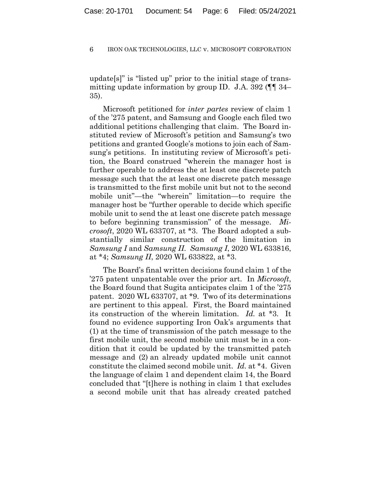update[s]" is "listed up" prior to the initial stage of transmitting update information by group ID. J.A. 392 (¶¶ 34– 35).

Microsoft petitioned for *inter partes* review of claim 1 of the '275 patent, and Samsung and Google each filed two additional petitions challenging that claim. The Board instituted review of Microsoft's petition and Samsung's two petitions and granted Google's motions to join each of Samsung's petitions. In instituting review of Microsoft's petition, the Board construed "wherein the manager host is further operable to address the at least one discrete patch message such that the at least one discrete patch message is transmitted to the first mobile unit but not to the second mobile unit"—the "wherein" limitation—to require the manager host be "further operable to decide which specific mobile unit to send the at least one discrete patch message to before beginning transmission" of the message. *Microsoft*, 2020 WL 633707, at \*3. The Board adopted a substantially similar construction of the limitation in *Samsung I* and *Samsung II*. *Samsung I*, 2020 WL 633816, at \*4; *Samsung II*, 2020 WL 633822, at \*3.

The Board's final written decisions found claim 1 of the '275 patent unpatentable over the prior art. In *Microsoft*, the Board found that Sugita anticipates claim 1 of the '275 patent. 2020 WL 633707, at \*9. Two of its determinations are pertinent to this appeal. First, the Board maintained its construction of the wherein limitation. *Id.* at \*3. It found no evidence supporting Iron Oak's arguments that (1) at the time of transmission of the patch message to the first mobile unit, the second mobile unit must be in a condition that it could be updated by the transmitted patch message and (2) an already updated mobile unit cannot constitute the claimed second mobile unit. *Id.* at \*4. Given the language of claim 1 and dependent claim 14, the Board concluded that "[t]here is nothing in claim 1 that excludes a second mobile unit that has already created patched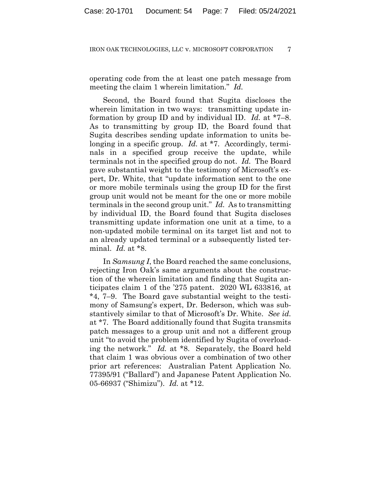operating code from the at least one patch message from meeting the claim 1 wherein limitation." *Id.*

Second, the Board found that Sugita discloses the wherein limitation in two ways: transmitting update information by group ID and by individual ID. *Id.* at \*7–8. As to transmitting by group ID, the Board found that Sugita describes sending update information to units belonging in a specific group. *Id.* at \*7. Accordingly, terminals in a specified group receive the update, while terminals not in the specified group do not. *Id.* The Board gave substantial weight to the testimony of Microsoft's expert, Dr. White, that "update information sent to the one or more mobile terminals using the group ID for the first group unit would not be meant for the one or more mobile terminals in the second group unit." *Id.* As to transmitting by individual ID, the Board found that Sugita discloses transmitting update information one unit at a time, to a non-updated mobile terminal on its target list and not to an already updated terminal or a subsequently listed terminal. *Id.* at \*8.

In *Samsung I*, the Board reached the same conclusions, rejecting Iron Oak's same arguments about the construction of the wherein limitation and finding that Sugita anticipates claim 1 of the '275 patent. 2020 WL 633816, at \*4, 7–9. The Board gave substantial weight to the testimony of Samsung's expert, Dr. Bederson, which was substantively similar to that of Microsoft's Dr. White. *See id.* at \*7. The Board additionally found that Sugita transmits patch messages to a group unit and not a different group unit "to avoid the problem identified by Sugita of overloading the network." *Id.* at \*8. Separately, the Board held that claim 1 was obvious over a combination of two other prior art references: Australian Patent Application No. 77395/91 ("Ballard") and Japanese Patent Application No. 05-66937 ("Shimizu"). *Id.* at \*12.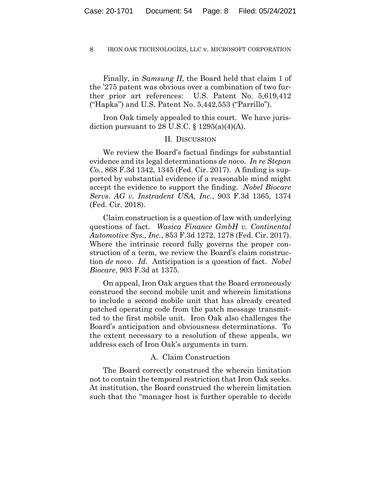Finally, in *Samsung II*, the Board held that claim 1 of the '275 patent was obvious over a combination of two further prior art references: U.S. Patent No. 5,619,412 ("Hapka") and U.S. Patent No. 5,442,553 ("Parrillo").

Iron Oak timely appealed to this court. We have jurisdiction pursuant to 28 U.S.C.  $\S$  1295(a)(4)(A).

## II. DISCUSSION

We review the Board's factual findings for substantial evidence and its legal determinations *de novo*. *In re Stepan Co.*, 868 F.3d 1342, 1345 (Fed. Cir. 2017). A finding is supported by substantial evidence if a reasonable mind might accept the evidence to support the finding. *Nobel Biocare Servs. AG v. Instradent USA, Inc.*, 903 F.3d 1365, 1374 (Fed. Cir. 2018).

Claim construction is a question of law with underlying questions of fact. *Wasica Finance GmbH v. Continental Automotive Sys., Inc.*, 853 F.3d 1272, 1278 (Fed. Cir. 2017). Where the intrinsic record fully governs the proper construction of a term, we review the Board's claim construction *de novo*. *Id.* Anticipation is a question of fact. *Nobel Biocare*, 903 F.3d at 1375.

On appeal, Iron Oak argues that the Board erroneously construed the second mobile unit and wherein limitations to include a second mobile unit that has already created patched operating code from the patch message transmitted to the first mobile unit. Iron Oak also challenges the Board's anticipation and obviousness determinations. To the extent necessary to a resolution of these appeals, we address each of Iron Oak's arguments in turn.

## A. Claim Construction

The Board correctly construed the wherein limitation not to contain the temporal restriction that Iron Oak seeks. At institution, the Board construed the wherein limitation such that the "manager host is further operable to decide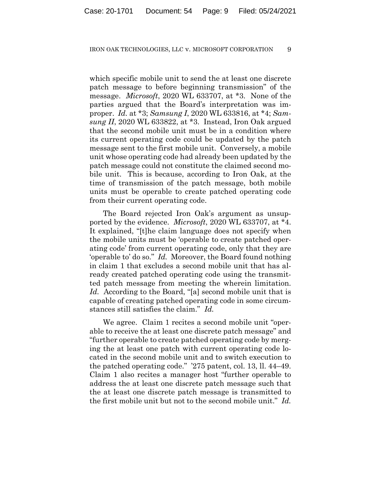which specific mobile unit to send the at least one discrete patch message to before beginning transmission" of the message. *Microsoft*, 2020 WL 633707, at \*3. None of the parties argued that the Board's interpretation was improper. *Id.* at \*3; *Samsung I*, 2020 WL 633816, at \*4; *Samsung II*, 2020 WL 633822, at \*3. Instead, Iron Oak argued that the second mobile unit must be in a condition where its current operating code could be updated by the patch message sent to the first mobile unit. Conversely, a mobile unit whose operating code had already been updated by the patch message could not constitute the claimed second mobile unit. This is because, according to Iron Oak, at the time of transmission of the patch message, both mobile units must be operable to create patched operating code from their current operating code.

The Board rejected Iron Oak's argument as unsupported by the evidence. *Microsoft*, 2020 WL 633707, at \*4. It explained, "[t]he claim language does not specify when the mobile units must be 'operable to create patched operating code' from current operating code, only that they are 'operable to' do so." *Id.* Moreover, the Board found nothing in claim 1 that excludes a second mobile unit that has already created patched operating code using the transmitted patch message from meeting the wherein limitation. *Id.* According to the Board, "[a] second mobile unit that is capable of creating patched operating code in some circumstances still satisfies the claim." *Id.*

We agree. Claim 1 recites a second mobile unit "operable to receive the at least one discrete patch message" and "further operable to create patched operating code by merging the at least one patch with current operating code located in the second mobile unit and to switch execution to the patched operating code." '275 patent, col. 13, ll. 44–49. Claim 1 also recites a manager host "further operable to address the at least one discrete patch message such that the at least one discrete patch message is transmitted to the first mobile unit but not to the second mobile unit." *Id.*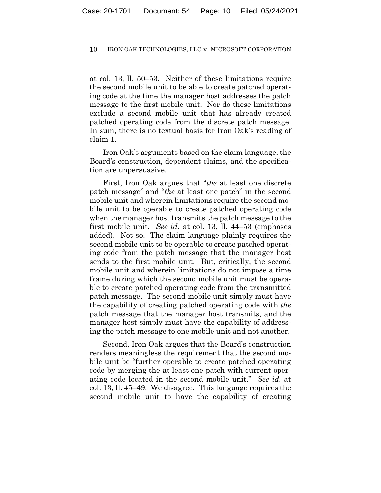at col. 13, ll. 50–53. Neither of these limitations require the second mobile unit to be able to create patched operating code at the time the manager host addresses the patch message to the first mobile unit. Nor do these limitations exclude a second mobile unit that has already created patched operating code from the discrete patch message. In sum, there is no textual basis for Iron Oak's reading of claim 1.

Iron Oak's arguments based on the claim language, the Board's construction, dependent claims, and the specification are unpersuasive.

First, Iron Oak argues that "*the* at least one discrete patch message" and "*the* at least one patch" in the second mobile unit and wherein limitations require the second mobile unit to be operable to create patched operating code when the manager host transmits the patch message to the first mobile unit. *See id.* at col. 13, ll. 44–53 (emphases added). Not so. The claim language plainly requires the second mobile unit to be operable to create patched operating code from the patch message that the manager host sends to the first mobile unit. But, critically, the second mobile unit and wherein limitations do not impose a time frame during which the second mobile unit must be operable to create patched operating code from the transmitted patch message. The second mobile unit simply must have the capability of creating patched operating code with *the* patch message that the manager host transmits, and the manager host simply must have the capability of addressing the patch message to one mobile unit and not another.

Second, Iron Oak argues that the Board's construction renders meaningless the requirement that the second mobile unit be "further operable to create patched operating code by merging the at least one patch with current operating code located in the second mobile unit." *See id.* at col. 13, ll. 45–49. We disagree. This language requires the second mobile unit to have the capability of creating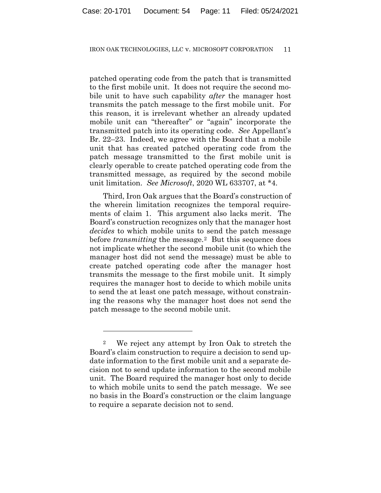patched operating code from the patch that is transmitted to the first mobile unit. It does not require the second mobile unit to have such capability *after* the manager host transmits the patch message to the first mobile unit. For this reason, it is irrelevant whether an already updated mobile unit can "thereafter" or "again" incorporate the transmitted patch into its operating code. *See* Appellant's Br. 22–23. Indeed, we agree with the Board that a mobile unit that has created patched operating code from the patch message transmitted to the first mobile unit is clearly operable to create patched operating code from the transmitted message, as required by the second mobile unit limitation. *See Microsoft*, 2020 WL 633707, at \*4.

Third, Iron Oak argues that the Board's construction of the wherein limitation recognizes the temporal requirements of claim 1. This argument also lacks merit. The Board's construction recognizes only that the manager host *decides* to which mobile units to send the patch message before *transmitting* the message.2 But this sequence does not implicate whether the second mobile unit (to which the manager host did not send the message) must be able to create patched operating code after the manager host transmits the message to the first mobile unit. It simply requires the manager host to decide to which mobile units to send the at least one patch message, without constraining the reasons why the manager host does not send the patch message to the second mobile unit.

<sup>2</sup> We reject any attempt by Iron Oak to stretch the Board's claim construction to require a decision to send update information to the first mobile unit and a separate decision not to send update information to the second mobile unit. The Board required the manager host only to decide to which mobile units to send the patch message. We see no basis in the Board's construction or the claim language to require a separate decision not to send.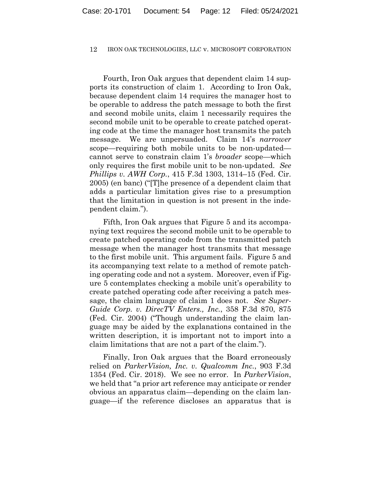Fourth, Iron Oak argues that dependent claim 14 supports its construction of claim 1. According to Iron Oak, because dependent claim 14 requires the manager host to be operable to address the patch message to both the first and second mobile units, claim 1 necessarily requires the second mobile unit to be operable to create patched operating code at the time the manager host transmits the patch message. We are unpersuaded. Claim 14's *narrower* scope—requiring both mobile units to be non-updated cannot serve to constrain claim 1's *broader* scope—which only requires the first mobile unit to be non-updated. *See Phillips v. AWH Corp.*, 415 F.3d 1303, 1314–15 (Fed. Cir. 2005) (en banc) ("[T]he presence of a dependent claim that adds a particular limitation gives rise to a presumption that the limitation in question is not present in the independent claim.").

Fifth, Iron Oak argues that Figure 5 and its accompanying text requires the second mobile unit to be operable to create patched operating code from the transmitted patch message when the manager host transmits that message to the first mobile unit. This argument fails. Figure 5 and its accompanying text relate to a method of remote patching operating code and not a system. Moreover, even if Figure 5 contemplates checking a mobile unit's operability to create patched operating code after receiving a patch message, the claim language of claim 1 does not. *See Super-Guide Corp. v. DirecTV Enters., Inc.*, 358 F.3d 870, 875 (Fed. Cir. 2004) ("Though understanding the claim language may be aided by the explanations contained in the written description, it is important not to import into a claim limitations that are not a part of the claim.").

Finally, Iron Oak argues that the Board erroneously relied on *ParkerVision, Inc. v. Qualcomm Inc.*, 903 F.3d 1354 (Fed. Cir. 2018). We see no error. In *ParkerVision*, we held that "a prior art reference may anticipate or render obvious an apparatus claim—depending on the claim language—if the reference discloses an apparatus that is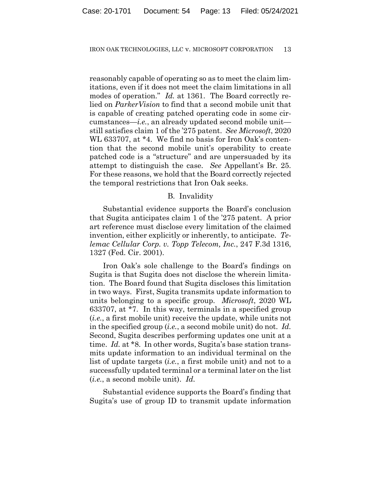reasonably capable of operating so as to meet the claim limitations, even if it does not meet the claim limitations in all modes of operation." *Id.* at 1361. The Board correctly relied on *ParkerVision* to find that a second mobile unit that is capable of creating patched operating code in some circumstances—*i.e.*, an already updated second mobile unit still satisfies claim 1 of the '275 patent. *See Microsoft*, 2020 WL 633707, at \*4. We find no basis for Iron Oak's contention that the second mobile unit's operability to create patched code is a "structure" and are unpersuaded by its attempt to distinguish the case. *See* Appellant's Br. 25. For these reasons, we hold that the Board correctly rejected the temporal restrictions that Iron Oak seeks.

## B. Invalidity

Substantial evidence supports the Board's conclusion that Sugita anticipates claim 1 of the '275 patent. A prior art reference must disclose every limitation of the claimed invention, either explicitly or inherently, to anticipate. *Telemac Cellular Corp. v. Topp Telecom, Inc.*, 247 F.3d 1316, 1327 (Fed. Cir. 2001).

Iron Oak's sole challenge to the Board's findings on Sugita is that Sugita does not disclose the wherein limitation. The Board found that Sugita discloses this limitation in two ways. First, Sugita transmits update information to units belonging to a specific group. *Microsoft*, 2020 WL 633707, at \*7. In this way, terminals in a specified group (*i.e.*, a first mobile unit) receive the update, while units not in the specified group (*i.e.*, a second mobile unit) do not. *Id.* Second, Sugita describes performing updates one unit at a time. *Id.* at \*8. In other words, Sugita's base station transmits update information to an individual terminal on the list of update targets (*i.e.*, a first mobile unit) and not to a successfully updated terminal or a terminal later on the list (*i.e.*, a second mobile unit). *Id.*

Substantial evidence supports the Board's finding that Sugita's use of group ID to transmit update information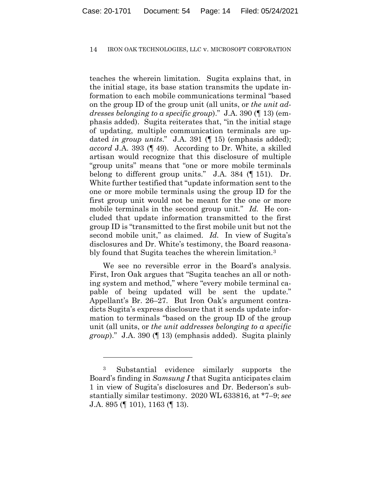teaches the wherein limitation. Sugita explains that, in the initial stage, its base station transmits the update information to each mobile communications terminal "based on the group ID of the group unit (all units, or *the unit addresses belonging to a specific group*)." J.A. 390 (¶ 13) (emphasis added). Sugita reiterates that, "in the initial stage of updating, multiple communication terminals are updated *in group units*." J.A. 391 (¶ 15) (emphasis added); *accord* J.A. 393 (¶ 49). According to Dr. White, a skilled artisan would recognize that this disclosure of multiple "group units" means that "one or more mobile terminals belong to different group units." J.A. 384 (¶ 151). Dr. White further testified that "update information sent to the one or more mobile terminals using the group ID for the first group unit would not be meant for the one or more mobile terminals in the second group unit." *Id.* He concluded that update information transmitted to the first group ID is "transmitted to the first mobile unit but not the second mobile unit," as claimed. *Id.* In view of Sugita's disclosures and Dr. White's testimony, the Board reasonably found that Sugita teaches the wherein limitation.3

We see no reversible error in the Board's analysis. First, Iron Oak argues that "Sugita teaches an all or nothing system and method," where "every mobile terminal capable of being updated will be sent the update." Appellant's Br. 26–27. But Iron Oak's argument contradicts Sugita's express disclosure that it sends update information to terminals "based on the group ID of the group unit (all units, or *the unit addresses belonging to a specific group*)." J.A. 390 (¶ 13) (emphasis added). Sugita plainly

<sup>3</sup> Substantial evidence similarly supports the Board's finding in *Samsung I* that Sugita anticipates claim 1 in view of Sugita's disclosures and Dr. Bederson's substantially similar testimony. 2020 WL 633816, at \*7–9; *see* J.A. 895 (¶ 101), 1163 (¶ 13).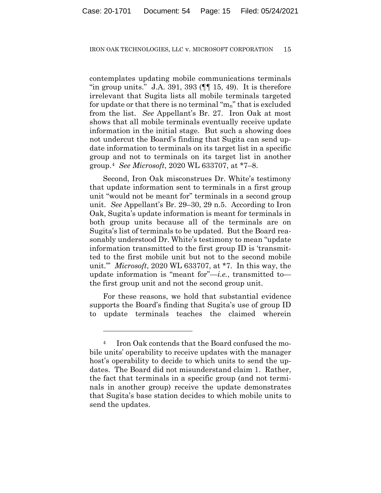contemplates updating mobile communications terminals "in group units." J.A. 391, 393  $(\P\P 15, 49)$ . It is therefore irrelevant that Sugita lists all mobile terminals targeted for update or that there is no terminal "m<sub>n</sub>" that is excluded from the list. *See* Appellant's Br. 27. Iron Oak at most shows that all mobile terminals eventually receive update information in the initial stage. But such a showing does not undercut the Board's finding that Sugita can send update information to terminals on its target list in a specific group and not to terminals on its target list in another group.4 *See Microsoft*, 2020 WL 633707, at \*7–8.

Second, Iron Oak misconstrues Dr. White's testimony that update information sent to terminals in a first group unit "would not be meant for" terminals in a second group unit. *See* Appellant's Br. 29–30, 29 n.5. According to Iron Oak, Sugita's update information is meant for terminals in both group units because all of the terminals are on Sugita's list of terminals to be updated. But the Board reasonably understood Dr. White's testimony to mean "update information transmitted to the first group ID is 'transmitted to the first mobile unit but not to the second mobile unit.'" *Microsoft*, 2020 WL 633707, at \*7. In this way, the update information is "meant for"—*i.e.*, transmitted to the first group unit and not the second group unit.

For these reasons, we hold that substantial evidence supports the Board's finding that Sugita's use of group ID to update terminals teaches the claimed wherein

<sup>4</sup> Iron Oak contends that the Board confused the mobile units' operability to receive updates with the manager host's operability to decide to which units to send the updates. The Board did not misunderstand claim 1. Rather, the fact that terminals in a specific group (and not terminals in another group) receive the update demonstrates that Sugita's base station decides to which mobile units to send the updates.